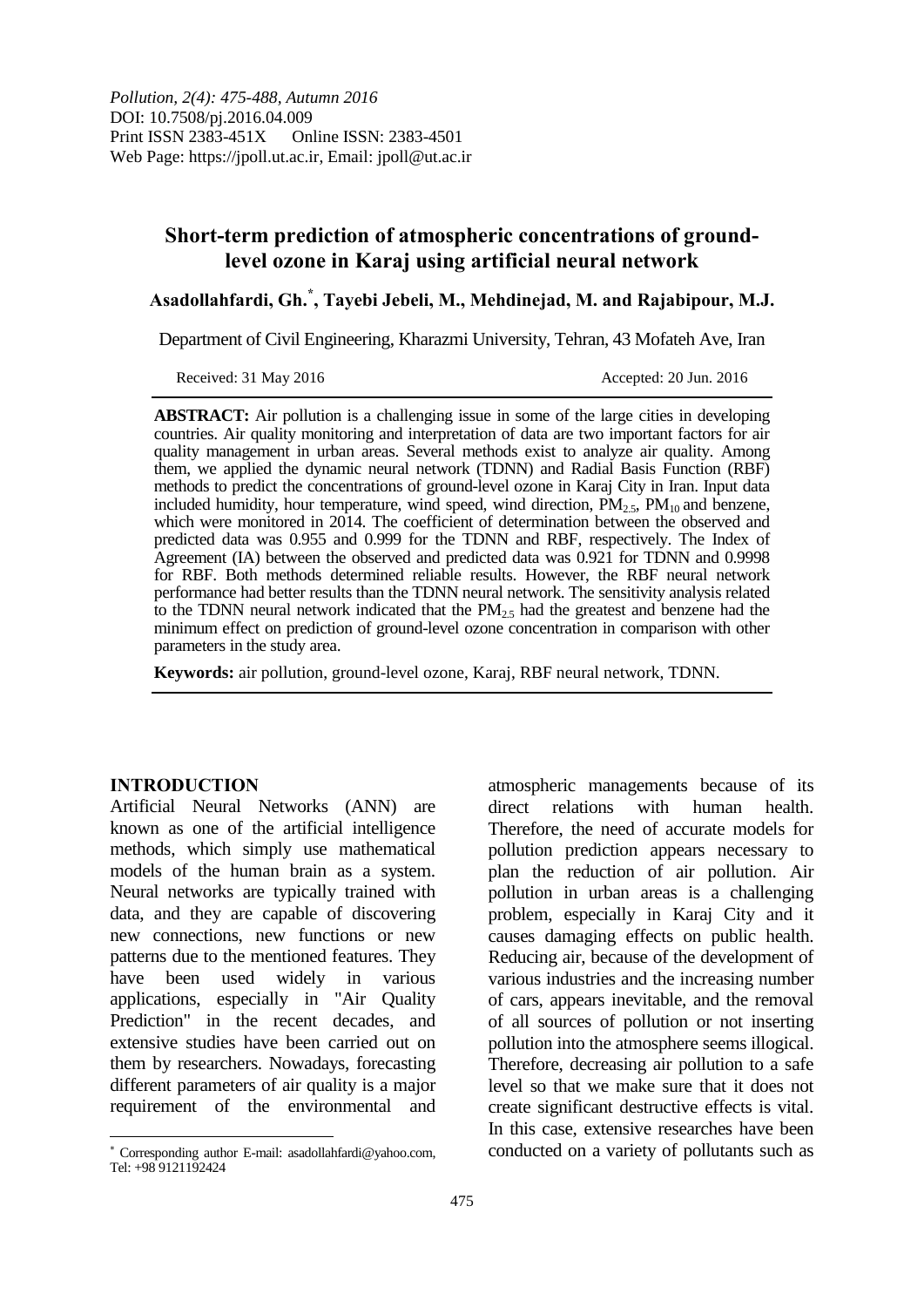# **Short-term prediction of atmospheric concentrations of groundlevel ozone in Karaj using artificial neural network**

**Asadollahfardi, Gh.\* , Tayebi Jebeli, M., Mehdinejad, M. and Rajabipour, M.J.**

Department of Civil Engineering, Kharazmi University, Tehran, 43 Mofateh Ave, Iran

Received: 31 May 2016 **Accepted: 20 Jun. 2016** 

**ABSTRACT:** Air pollution is a challenging issue in some of the large cities in developing countries. Air quality monitoring and interpretation of data are two important factors for air quality management in urban areas. Several methods exist to analyze air quality. Among them, we applied the dynamic neural network (TDNN) and Radial Basis Function (RBF) methods to predict the concentrations of ground-level ozone in Karaj City in Iran. Input data included humidity, hour temperature, wind speed, wind direction,  $PM_{2.5}$ ,  $PM_{10}$  and benzene, which were monitored in 2014. The coefficient of determination between the observed and predicted data was 0.955 and 0.999 for the TDNN and RBF, respectively. The Index of Agreement (IA) between the observed and predicted data was 0.921 for TDNN and 0.9998 for RBF. Both methods determined reliable results. However, the RBF neural network performance had better results than the TDNN neural network. The sensitivity analysis related to the TDNN neural network indicated that the  $PM<sub>25</sub>$  had the greatest and benzene had the minimum effect on prediction of ground-level ozone concentration in comparison with other parameters in the study area.

**Keywords:** air pollution, ground-level ozone, Karaj, RBF neural network, TDNN.

## **INTRODUCTION**

 $\overline{a}$ 

Artificial Neural Networks (ANN) are known as one of the artificial intelligence methods, which simply use mathematical models of the human brain as a system. Neural networks are typically trained with data, and they are capable of discovering new connections, new functions or new patterns due to the mentioned features. They have been used widely in various applications, especially in "Air Quality Prediction" in the recent decades, and extensive studies have been carried out on them by researchers. Nowadays, forecasting different parameters of air quality is a major requirement of the environmental and

atmospheric managements because of its direct relations with human health. Therefore, the need of accurate models for pollution prediction appears necessary to plan the reduction of air pollution. Air pollution in urban areas is a challenging problem, especially in Karaj City and it causes damaging effects on public health. Reducing air, because of the development of various industries and the increasing number of cars, appears inevitable, and the removal of all sources of pollution or not inserting pollution into the atmosphere seems illogical. Therefore, decreasing air pollution to a safe level so that we make sure that it does not create significant destructive effects is vital. In this case, extensive researches have been conducted on a variety of pollutants such as

Corresponding author E-mail: asadollahfardi@yahoo.com, Tel: +98 9121192424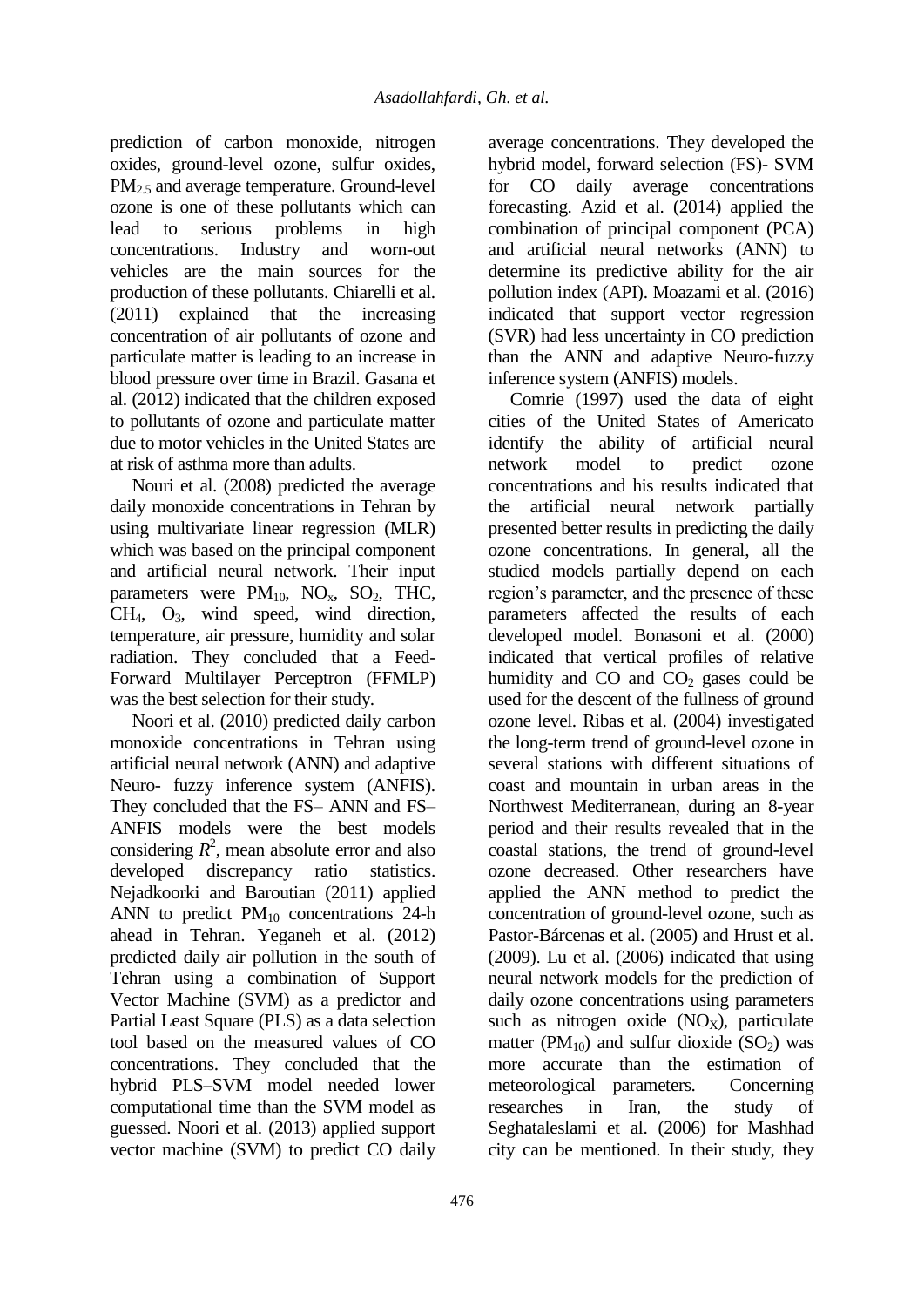prediction of carbon monoxide, nitrogen oxides, ground-level ozone, sulfur oxides, PM<sub>2.5</sub> and average temperature. Ground-level ozone is one of these pollutants which can lead to serious problems in high concentrations. Industry and worn-out vehicles are the main sources for the production of these pollutants. Chiarelli et al. (2011) explained that the increasing concentration of air pollutants of ozone and particulate matter is leading to an increase in blood pressure over time in Brazil. Gasana et al. (2012) indicated that the children exposed to pollutants of ozone and particulate matter due to motor vehicles in the United States are at risk of asthma more than adults.

Nouri et al. (2008) predicted the average daily monoxide concentrations in Tehran by using multivariate linear regression (MLR) which was based on the principal component and artificial neural network. Their input parameters were  $PM_{10}$ ,  $NO_x$ ,  $SO_2$ , THC, CH4, O3, wind speed, wind direction, temperature, air pressure, humidity and solar radiation. They concluded that a Feed-Forward Multilayer Perceptron (FFMLP) was the best selection for their study.

Noori et al. (2010) predicted daily carbon monoxide concentrations in Tehran using artificial neural network (ANN) and adaptive Neuro- fuzzy inference system (ANFIS). They concluded that the FS– ANN and FS– ANFIS models were the best models considering  $R^2$ , mean absolute error and also developed discrepancy ratio statistics. Nejadkoorki and Baroutian (2011) applied ANN to predict  $PM_{10}$  concentrations 24-h ahead in Tehran. Yeganeh et al. (2012) predicted daily air pollution in the south of Tehran using a combination of Support Vector Machine (SVM) as a predictor and Partial Least Square (PLS) as a data selection tool based on the measured values of CO concentrations. They concluded that the hybrid PLS–SVM model needed lower computational time than the SVM model as guessed. Noori et al. (2013) applied support vector machine (SVM) to predict CO daily

average concentrations. They developed the hybrid model, forward selection (FS)- SVM for CO daily average concentrations forecasting. Azid et al. (2014) applied the combination of principal component (PCA) and artificial neural networks (ANN) to determine its predictive ability for the air pollution index (API). Moazami et al. (2016) indicated that support vector regression (SVR) had less uncertainty in CO prediction than the ANN and adaptive Neuro-fuzzy inference system (ANFIS) models.

Comrie (1997) used the data of eight cities of the United States of Americato identify the ability of artificial neural network model to predict ozone concentrations and his results indicated that the artificial neural network partially presented better results in predicting the daily ozone concentrations. In general, all the studied models partially depend on each region's parameter, and the presence of these parameters affected the results of each developed model. Bonasoni et al. (2000) indicated that vertical profiles of relative humidity and  $CO$  and  $CO<sub>2</sub>$  gases could be used for the descent of the fullness of ground ozone level. Ribas et al. (2004) investigated the long-term trend of ground-level ozone in several stations with different situations of coast and mountain in urban areas in the Northwest Mediterranean, during an 8-year period and their results revealed that in the coastal stations, the trend of ground-level ozone decreased. Other researchers have applied the ANN method to predict the concentration of ground-level ozone, such as Pastor-Bárcenas et al. (2005) and Hrust et al. (2009). Lu et al. (2006) indicated that using neural network models for the prediction of daily ozone concentrations using parameters such as nitrogen oxide  $(NO<sub>X</sub>)$ , particulate matter ( $PM_{10}$ ) and sulfur dioxide ( $SO_2$ ) was more accurate than the estimation of meteorological parameters. Concerning researches in Iran, the study of Seghataleslami et al. (2006) for Mashhad city can be mentioned. In their study, they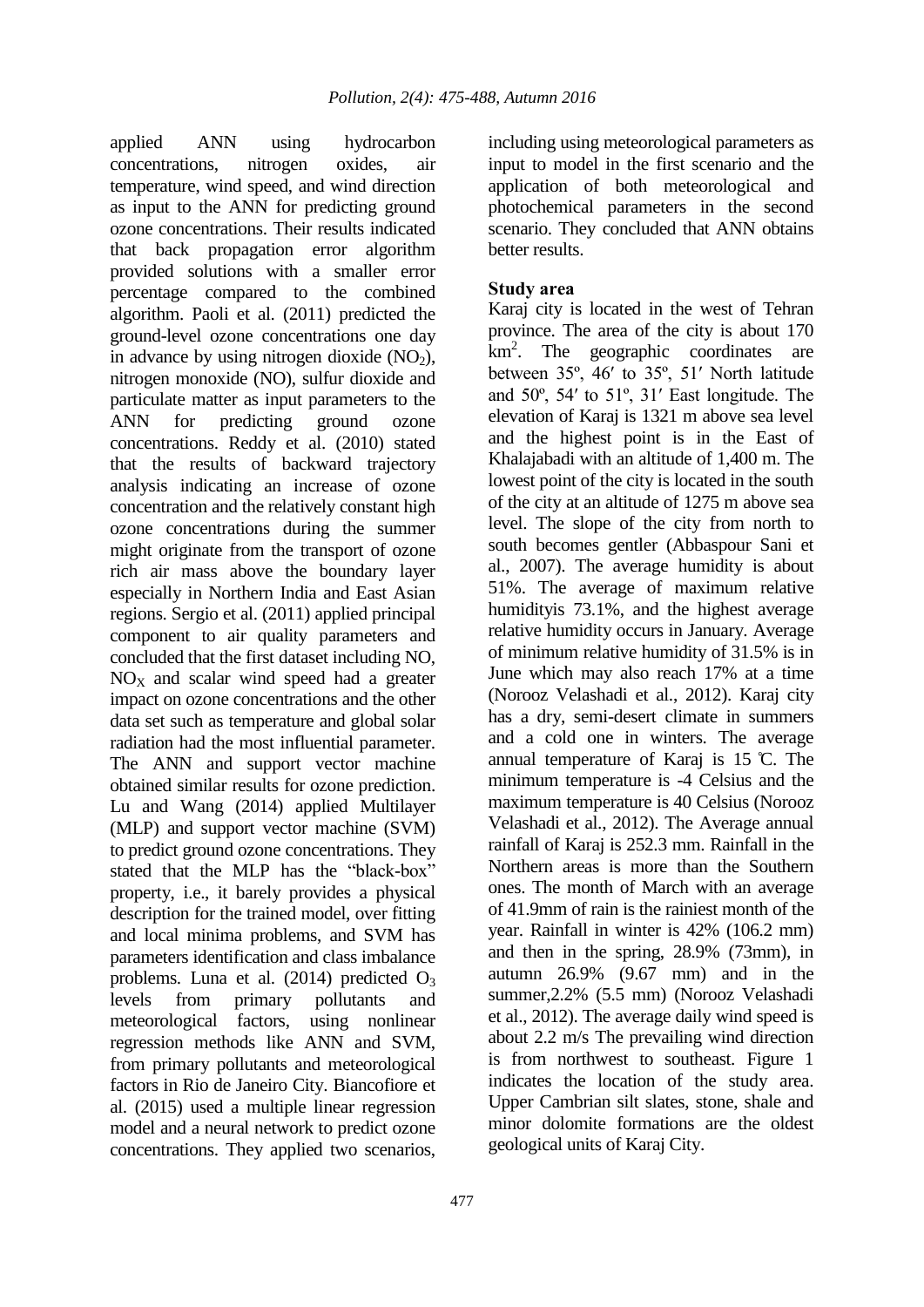applied ANN using hydrocarbon concentrations, nitrogen oxides, air temperature, wind speed, and wind direction as input to the ANN for predicting ground ozone concentrations. Their results indicated that back propagation error algorithm provided solutions with a smaller error percentage compared to the combined algorithm. Paoli et al. (2011) predicted the ground-level ozone concentrations one day in advance by using nitrogen dioxide  $(NO<sub>2</sub>)$ , nitrogen monoxide (NO), sulfur dioxide and particulate matter as input parameters to the ANN for predicting ground ozone concentrations. Reddy et al. (2010) stated that the results of backward trajectory analysis indicating an increase of ozone concentration and the relatively constant high ozone concentrations during the summer might originate from the transport of ozone rich air mass above the boundary layer especially in Northern India and East Asian regions. Sergio et al. (2011) applied principal component to air quality parameters and concluded that the first dataset including NO,  $NO<sub>x</sub>$  and scalar wind speed had a greater impact on ozone concentrations and the other data set such as temperature and global solar radiation had the most influential parameter. The ANN and support vector machine obtained similar results for ozone prediction. Lu and Wang (2014) applied Multilayer (MLP) and support vector machine (SVM) to predict ground ozone concentrations. They stated that the MLP has the "black-box" property, i.e., it barely provides a physical description for the trained model, over fitting and local minima problems, and SVM has parameters identification and class imbalance problems. Luna et al.  $(2014)$  predicted  $O<sub>3</sub>$ levels from primary pollutants and meteorological factors, using nonlinear regression methods like ANN and SVM, from primary pollutants and meteorological factors in Rio de Janeiro City. Biancofiore et al. (2015) used a multiple linear regression model and a neural network to predict ozone concentrations. They applied two scenarios,

including using meteorological parameters as input to model in the first scenario and the application of both meteorological and photochemical parameters in the second scenario. They concluded that ANN obtains better results.

## **Study area**

Karaj city is located in the west of Tehran province. The area of the city is about 170 km<sup>2</sup>. The geographic coordinates are between 35º, 46ʹ to 35º, 51ʹ North latitude and 50º, 54ʹ to 51º, 31ʹ East longitude. The elevation of Karaj is 1321 m above sea level and the highest point is in the East of Khalajabadi with an altitude of 1,400 m. The lowest point of the city is located in the south of the city at an altitude of 1275 m above sea level. The slope of the city from north to south becomes gentler (Abbaspour Sani et al., 2007). The average humidity is about 51%. The average of maximum relative humidityis 73.1%, and the highest average relative humidity occurs in January. Average of minimum relative humidity of 31.5% is in June which may also reach 17% at a time (Norooz Velashadi et al., 2012). Karaj city has a dry, semi-desert climate in summers and a cold one in winters. The average annual temperature of Karaj is 15 ̊C. The minimum temperature is -4 Celsius and the maximum temperature is 40 Celsius (Norooz Velashadi et al., 2012). The Average annual rainfall of Karaj is 252.3 mm. Rainfall in the Northern areas is more than the Southern ones. The month of March with an average of 41.9mm of rain is the rainiest month of the year. Rainfall in winter is 42% (106.2 mm) and then in the spring, 28.9% (73mm), in autumn 26.9% (9.67 mm) and in the summer,2.2% (5.5 mm) (Norooz Velashadi et al., 2012). The average daily wind speed is about 2.2 m/s The prevailing wind direction is from northwest to southeast. Figure 1 indicates the location of the study area. Upper Cambrian silt slates, stone, shale and minor dolomite formations are the oldest geological units of Karaj City.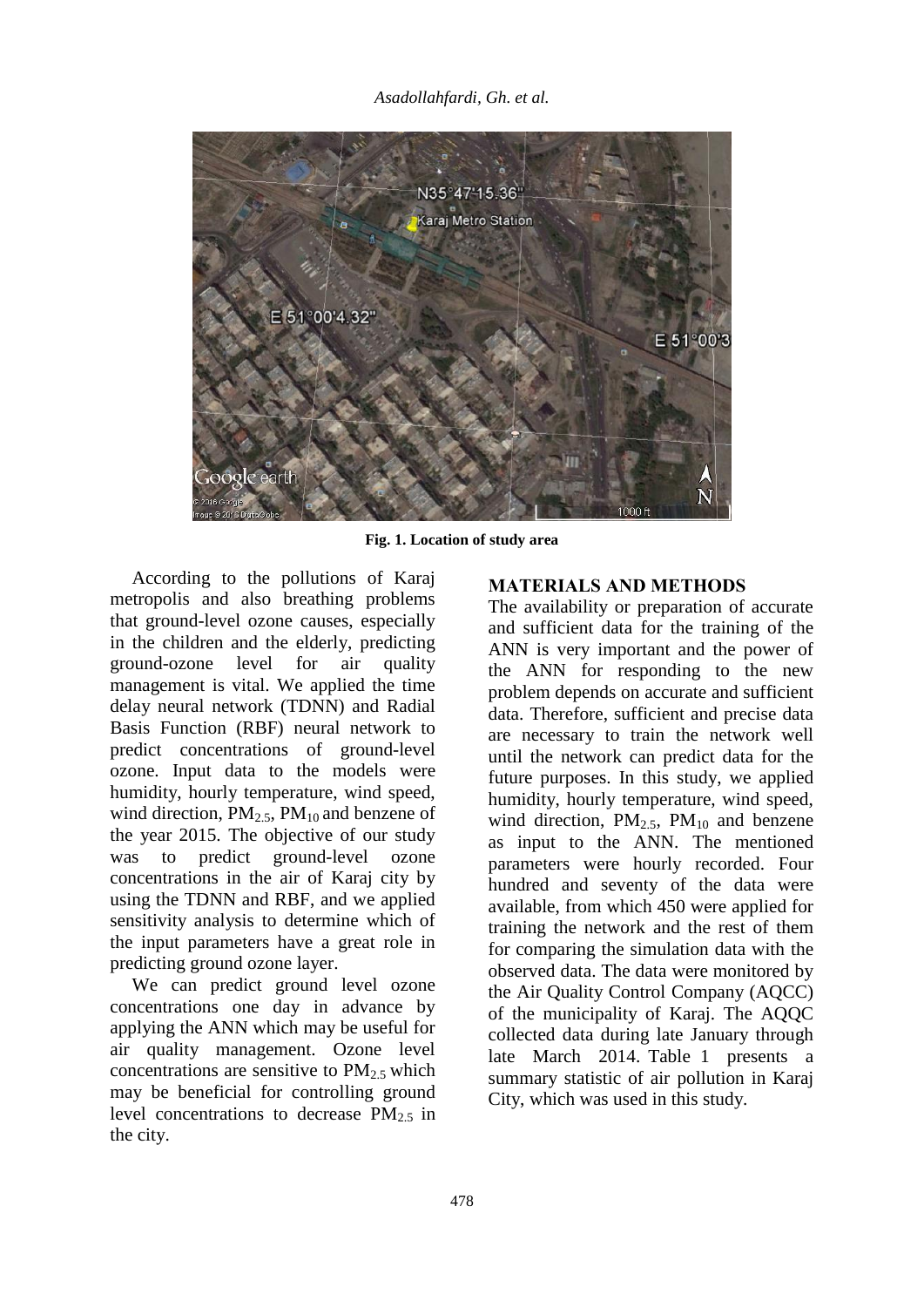*Asadollahfardi, Gh. et al.* 



**Fig. 1. Location of study area**

According to the pollutions of Karaj metropolis and also breathing problems that ground-level ozone causes, especially in the children and the elderly, predicting ground-ozone level for air quality management is vital. We applied the time delay neural network (TDNN) and Radial Basis Function (RBF) neural network to predict concentrations of ground-level ozone. Input data to the models were humidity, hourly temperature, wind speed, wind direction,  $PM_{2.5}$ ,  $PM_{10}$  and benzene of the year 2015. The objective of our study was to predict ground-level ozone concentrations in the air of Karaj city by using the TDNN and RBF, and we applied sensitivity analysis to determine which of the input parameters have a great role in predicting ground ozone layer.

We can predict ground level ozone concentrations one day in advance by applying the ANN which may be useful for air quality management. Ozone level concentrations are sensitive to  $PM_2$ , which may be beneficial for controlling ground level concentrations to decrease  $PM<sub>2.5</sub>$  in the city.

## **MATERIALS AND METHODS**

The availability or preparation of accurate and sufficient data for the training of the ANN is very important and the power of the ANN for responding to the new problem depends on accurate and sufficient data. Therefore, sufficient and precise data are necessary to train the network well until the network can predict data for the future purposes. In this study, we applied humidity, hourly temperature, wind speed, wind direction,  $PM_{2.5}$ ,  $PM_{10}$  and benzene as input to the ANN. The mentioned parameters were hourly recorded. Four hundred and seventy of the data were available, from which 450 were applied for training the network and the rest of them for comparing the simulation data with the observed data. The data were monitored by the Air Quality Control Company (AQCC) of the municipality of Karaj. The AQQC collected data during late January through late March 2014. Table 1 presents a summary statistic of air pollution in Karaj City, which was used in this study.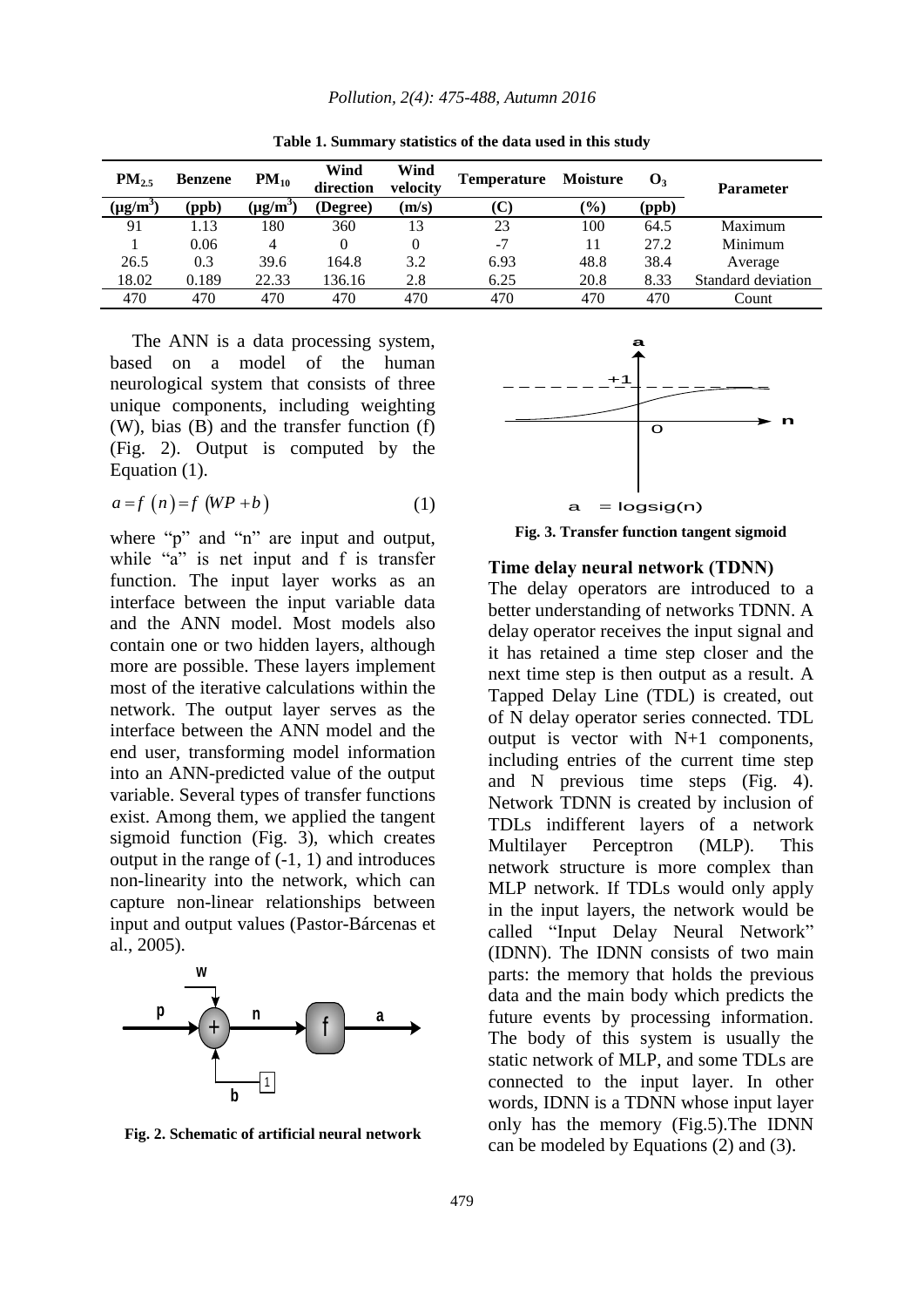| $PM_{2.5}$    | <b>Benzene</b> | $PM_{10}$             | Wind<br>direction | Wind<br>velocity | <b>Temperature</b> | <b>Moisture</b> | $\mathbf{O}_3$ | <b>Parameter</b>   |
|---------------|----------------|-----------------------|-------------------|------------------|--------------------|-----------------|----------------|--------------------|
| $(\mu g/m^3)$ | (ppb)          | $(\mu$ g/m $^{\circ}$ | (Degree)          | (m/s)            | $(\mathbf{C})$     | (%)             | (ppb)          |                    |
| 91            | 1.13           | 180                   | 360               | 13               | 23                 | 100             | 64.5           | Maximum            |
|               | 0.06           | 4                     | 0                 | $\left($         | $-7$               | 11              | 27.2           | Minimum            |
| 26.5          | 0.3            | 39.6                  | 164.8             | 3.2              | 6.93               | 48.8            | 38.4           | Average            |
| 18.02         | 0.189          | 22.33                 | 136.16            | 2.8              | 6.25               | 20.8            | 8.33           | Standard deviation |
| 470           | 470            | 470                   | 470               | 470              | 470                | 470             | 470            | Count              |

**Table 1. Summary statistics of the data used in this study**

The ANN is a data processing system, based on a model of the human neurological system that consists of three unique components, including weighting (W), bias (B) and the transfer function (f) (Fig. 2). Output is computed by the Equation (1).

$$
a = f(n) = f(WP + b)
$$
 (1)

where "p" and "n" are input and output, while "a" is net input and f is transfer function. The input layer works as an interface between the input variable data and the ANN model. Most models also contain one or two hidden layers, although more are possible. These layers implement most of the iterative calculations within the network. The output layer serves as the interface between the ANN model and the end user, transforming model information into an ANN-predicted value of the output variable. Several types of transfer functions exist. Among them, we applied the tangent sigmoid function (Fig. 3), which creates output in the range of (-1, 1) and introduces non-linearity into the network, which can capture non-linear relationships between input and output values (Pastor-Bárcenas et al., 2005).



**Fig. 2. Schematic of artificial neural network**



**Fig. 3. Transfer function tangent sigmoid**

#### **Time delay neural network (TDNN)**

The delay operators are introduced to a better understanding of networks TDNN. A delay operator receives the input signal and it has retained a time step closer and the next time step is then output as a result. A Tapped Delay Line (TDL) is created, out of N delay operator series connected. TDL output is vector with N+1 components, including entries of the current time step and N previous time steps (Fig. 4). Network TDNN is created by inclusion of TDLs indifferent layers of a network Multilayer Perceptron (MLP). This network structure is more complex than MLP network. If TDLs would only apply in the input layers, the network would be called "Input Delay Neural Network" (IDNN). The IDNN consists of two main parts: the memory that holds the previous data and the main body which predicts the future events by processing information. The body of this system is usually the static network of MLP, and some TDLs are connected to the input layer. In other words, IDNN is a TDNN whose input layer only has the memory (Fig.5).The IDNN can be modeled by Equations (2) and (3).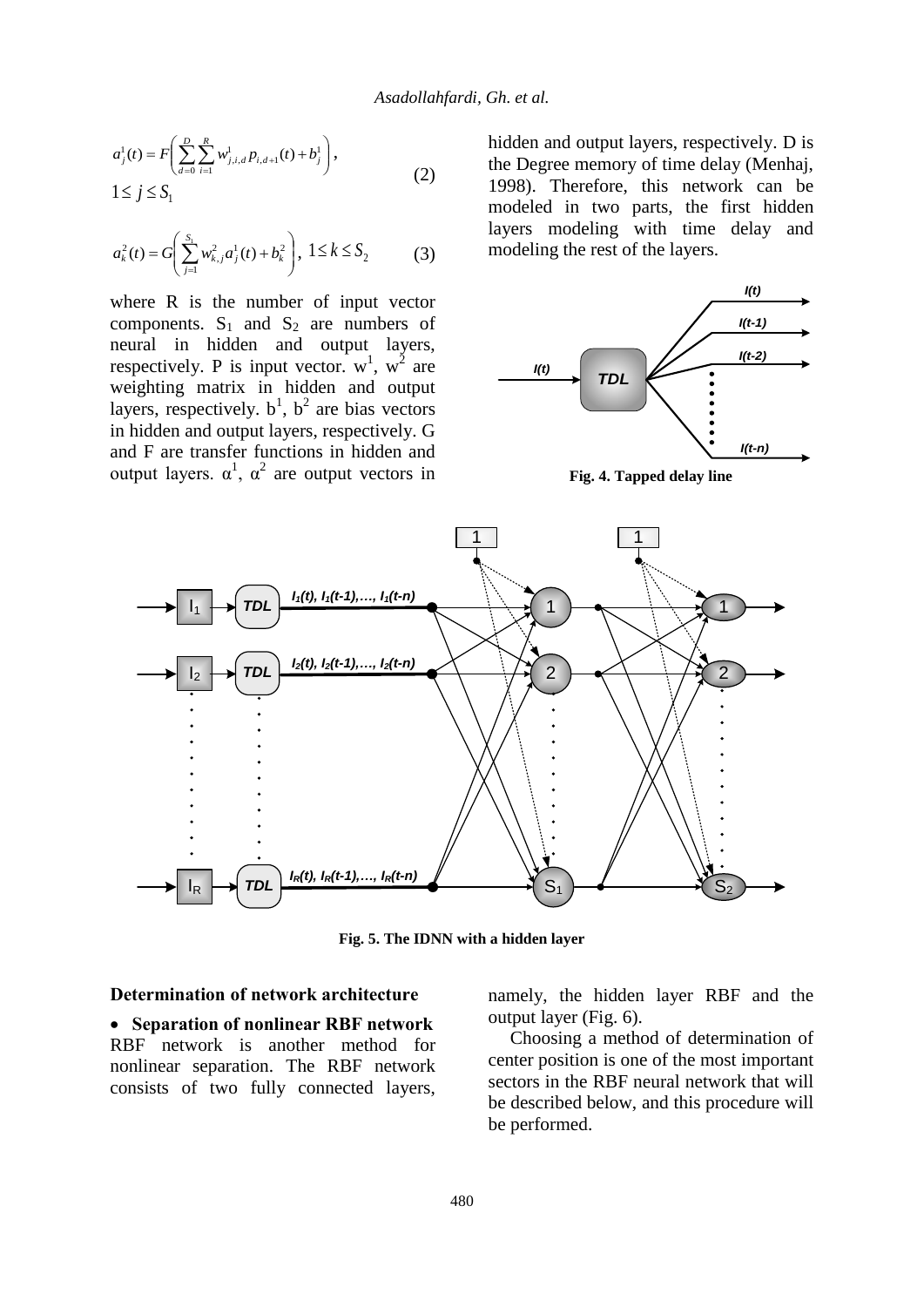$$
a_j^1(t) = F\left(\sum_{d=0}^D \sum_{i=1}^R w_{j,i,d}^1 p_{i,d+1}(t) + b_j^1\right),
$$
  
 
$$
1 \le j \le S_1
$$
 (2)

$$
a_k^2(t) = G\left(\sum_{j=1}^{S_1} w_{k,j}^2 a_j^1(t) + b_k^2\right), \ 1 \le k \le S_2 \tag{3}
$$

where R is the number of input vector components.  $S_1$  and  $S_2$  are numbers of neural in hidden and output layers, respectively. P is input vector.  $w^1$ ,  $w^2$  are weighting matrix in hidden and output layers, respectively.  $b^1$ ,  $b^2$  are bias vectors in hidden and output layers, respectively. G and F are transfer functions in hidden and output layers.  $\alpha^1$ ,  $\alpha^2$  are output vectors in hidden and output layers, respectively. D is the Degree memory of time delay (Menhaj, 1998). Therefore, this network can be modeled in two parts, the first hidden layers modeling with time delay and modeling the rest of the layers.



**Fig. 4. Tapped delay line**



**Fig. 5. The IDNN with a hidden layer**

## **Determination of network architecture**

 **Separation of nonlinear RBF network** RBF network is another method for nonlinear separation. The RBF network consists of two fully connected layers, namely, the hidden layer RBF and the output layer (Fig. 6).

Choosing a method of determination of center position is one of the most important sectors in the RBF neural network that will be described below, and this procedure will be performed.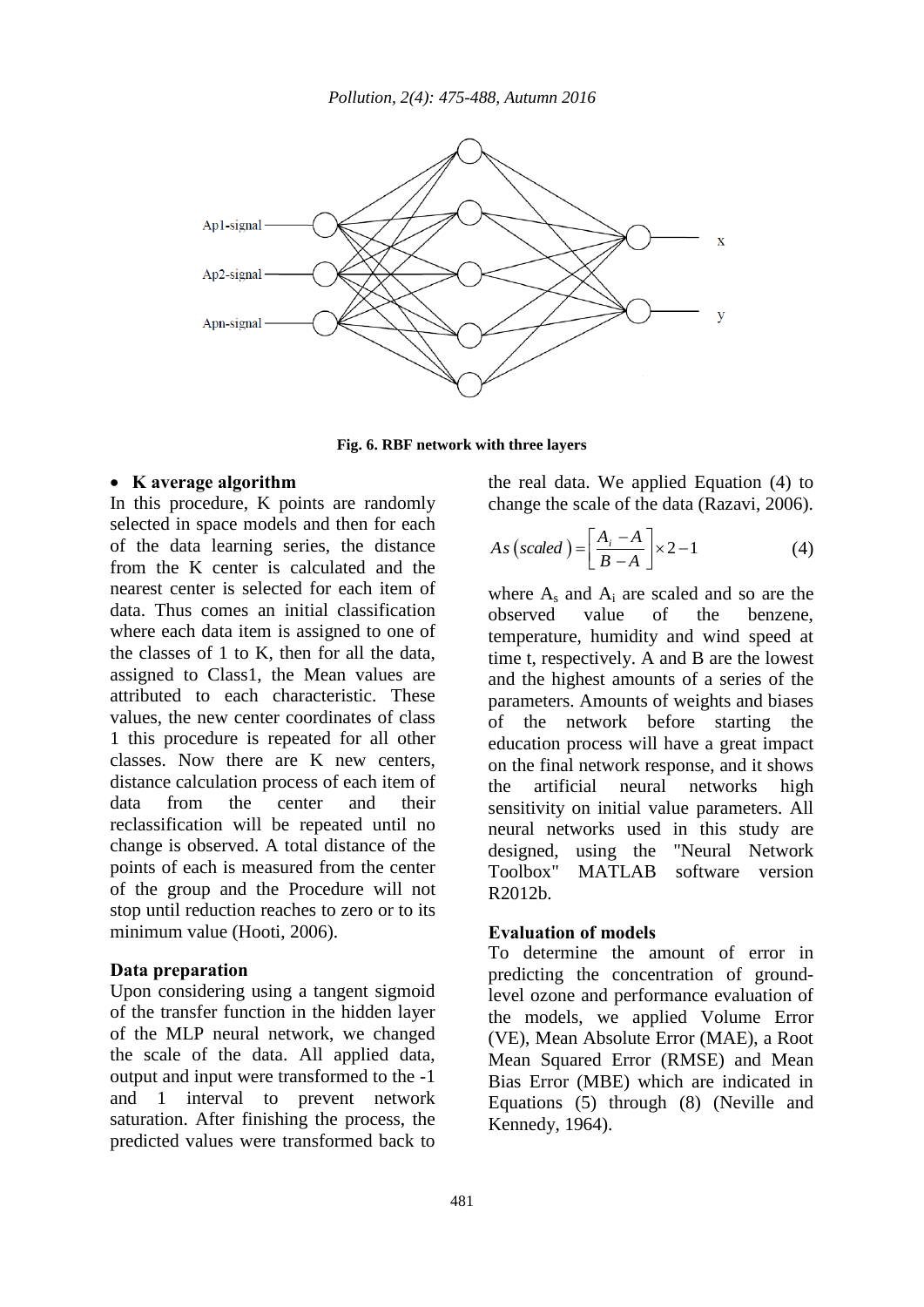

**Fig. 6. RBF network with three layers**

#### **K average algorithm**

In this procedure, K points are randomly selected in space models and then for each of the data learning series, the distance from the K center is calculated and the nearest center is selected for each item of data. Thus comes an initial classification where each data item is assigned to one of the classes of 1 to K, then for all the data, assigned to Class1, the Mean values are attributed to each characteristic. These values, the new center coordinates of class 1 this procedure is repeated for all other classes. Now there are K new centers, distance calculation process of each item of data from the center and their reclassification will be repeated until no change is observed. A total distance of the points of each is measured from the center of the group and the Procedure will not stop until reduction reaches to zero or to its minimum value (Hooti, 2006).

#### **Data preparation**

Upon considering using a tangent sigmoid of the transfer function in the hidden layer of the MLP neural network, we changed the scale of the data. All applied data, output and input were transformed to the -1 and 1 interval to prevent network saturation. After finishing the process, the predicted values were transformed back to the real data. We applied Equation (4) to change the scale of the data (Razavi, 2006).

$$
As (scaled) = \left[\frac{A_i - A}{B - A}\right] \times 2 - 1 \tag{4}
$$

where  $A_s$  and  $A_i$  are scaled and so are the observed value of the benzene, temperature, humidity and wind speed at time t, respectively. A and B are the lowest and the highest amounts of a series of the parameters. Amounts of weights and biases of the network before starting the education process will have a great impact on the final network response, and it shows the artificial neural networks high sensitivity on initial value parameters. All neural networks used in this study are designed, using the "Neural Network Toolbox" MATLAB software version R2012b.

#### **Evaluation of models**

To determine the amount of error in predicting the concentration of groundlevel ozone and performance evaluation of the models, we applied Volume Error (VE), Mean Absolute Error (MAE), a Root Mean Squared Error (RMSE) and Mean Bias Error (MBE) which are indicated in Equations (5) through (8) (Neville and Kennedy, 1964).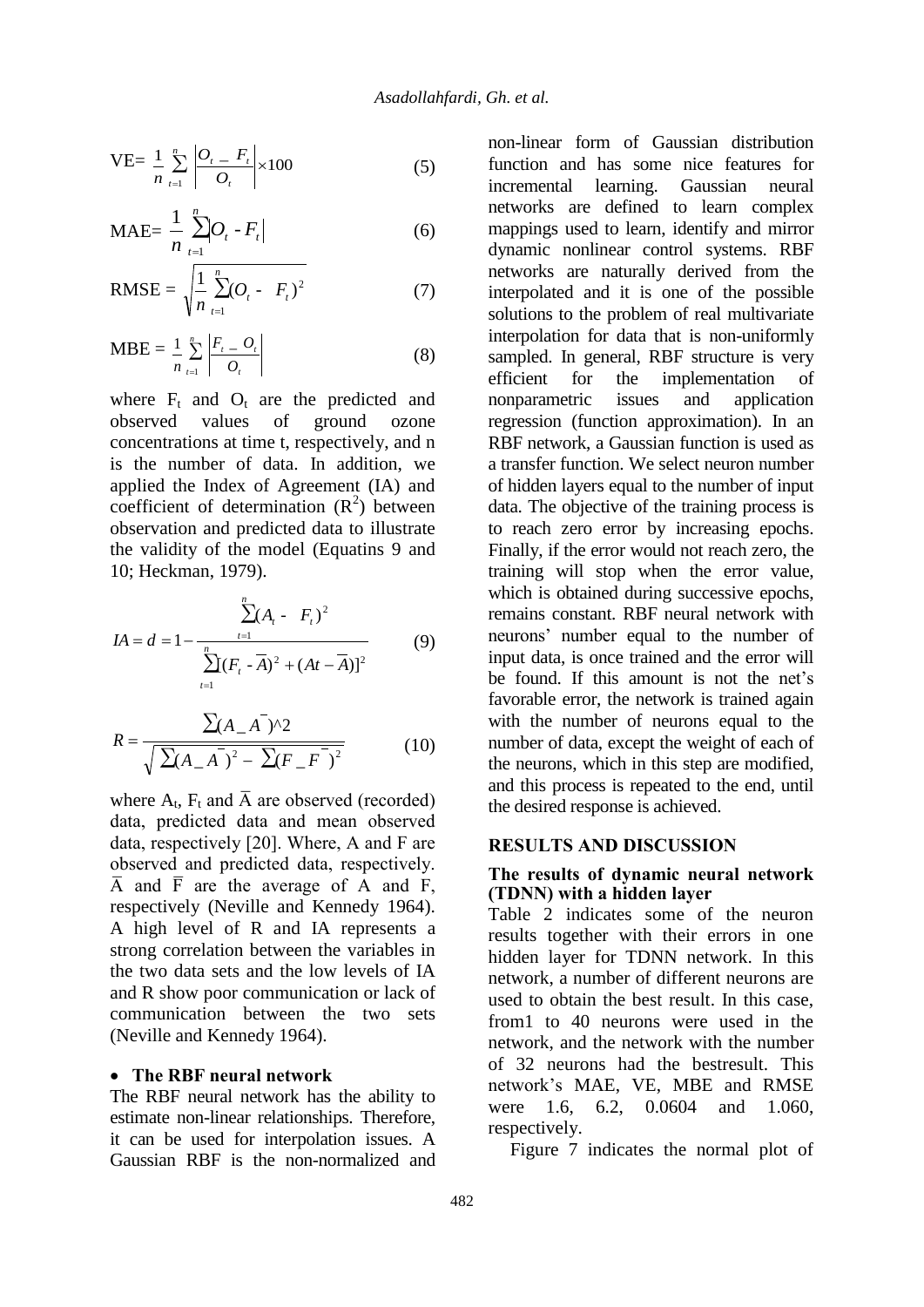VE=
$$
\frac{1}{n}\sum_{t=1}^{n} \left| \frac{O_t - F_t}{O_t} \right| \times 100
$$
 (5)

$$
MAE = \frac{1}{n} \sum_{t=1}^{n} O_t - F_t
$$
 (6)

RMSE = 
$$
\sqrt{\frac{1}{n} \sum_{t=1}^{n} (O_t - F_t)^2}
$$
 (7)

$$
MBE = \frac{1}{n} \sum_{t=1}^{n} \left| \frac{F_t - O_t}{O_t} \right| \tag{8}
$$

where  $F_t$  and  $O_t$  are the predicted and observed values of ground ozone concentrations at time t, respectively, and n is the number of data. In addition, we applied the Index of Agreement (IA) and coefficient of determination  $(R^2)$  between observation and predicted data to illustrate the validity of the model (Equatins 9 and 10; Heckman, 1979).

$$
IA = d = 1 - \frac{\sum_{t=1}^{n} (A_t - F_t)^2}{\sum_{t=1}^{n} (F_t - A)^2 + (At - A)^2}
$$
(9)

$$
R = \frac{\sum (A_{-A})^2}{\sqrt{\sum (A_{-A})^2 - \sum (F_{-F})^2}}
$$
(10)

where  $A_t$ ,  $F_t$  and  $\overline{A}$  are observed (recorded) data, predicted data and mean observed data, respectively [20]. Where, A and F are observed and predicted data, respectively.  $\overline{A}$  and  $\overline{F}$  are the average of A and F, respectively (Neville and Kennedy 1964). A high level of R and IA represents a strong correlation between the variables in the two data sets and the low levels of IA and R show poor communication or lack of communication between the two sets (Neville and Kennedy 1964).

#### **The RBF neural network**

The RBF neural network has the ability to estimate non-linear relationships. Therefore, it can be used for interpolation issues. A Gaussian RBF is the non-normalized and non-linear form of Gaussian distribution function and has some nice features for incremental learning. Gaussian neural networks are defined to learn complex mappings used to learn, identify and mirror dynamic nonlinear control systems. RBF networks are naturally derived from the interpolated and it is one of the possible solutions to the problem of real multivariate interpolation for data that is non-uniformly sampled. In general, RBF structure is very efficient for the implementation of nonparametric issues and application regression (function approximation). In an RBF network, a Gaussian function is used as a transfer function. We select neuron number of hidden layers equal to the number of input data. The objective of the training process is to reach zero error by increasing epochs. Finally, if the error would not reach zero, the training will stop when the error value, which is obtained during successive epochs, remains constant. RBF neural network with neurons' number equal to the number of input data, is once trained and the error will be found. If this amount is not the net's favorable error, the network is trained again with the number of neurons equal to the number of data, except the weight of each of the neurons, which in this step are modified, and this process is repeated to the end, until the desired response is achieved.

## **RESULTS AND DISCUSSION**

## **The results of dynamic neural network (TDNN) with a hidden layer**

Table 2 indicates some of the neuron results together with their errors in one hidden layer for TDNN network. In this network, a number of different neurons are used to obtain the best result. In this case, from1 to 40 neurons were used in the network, and the network with the number of 32 neurons had the bestresult. This network's MAE, VE, MBE and RMSE were 1.6, 6.2, 0.0604 and 1.060, respectively.

Figure 7 indicates the normal plot of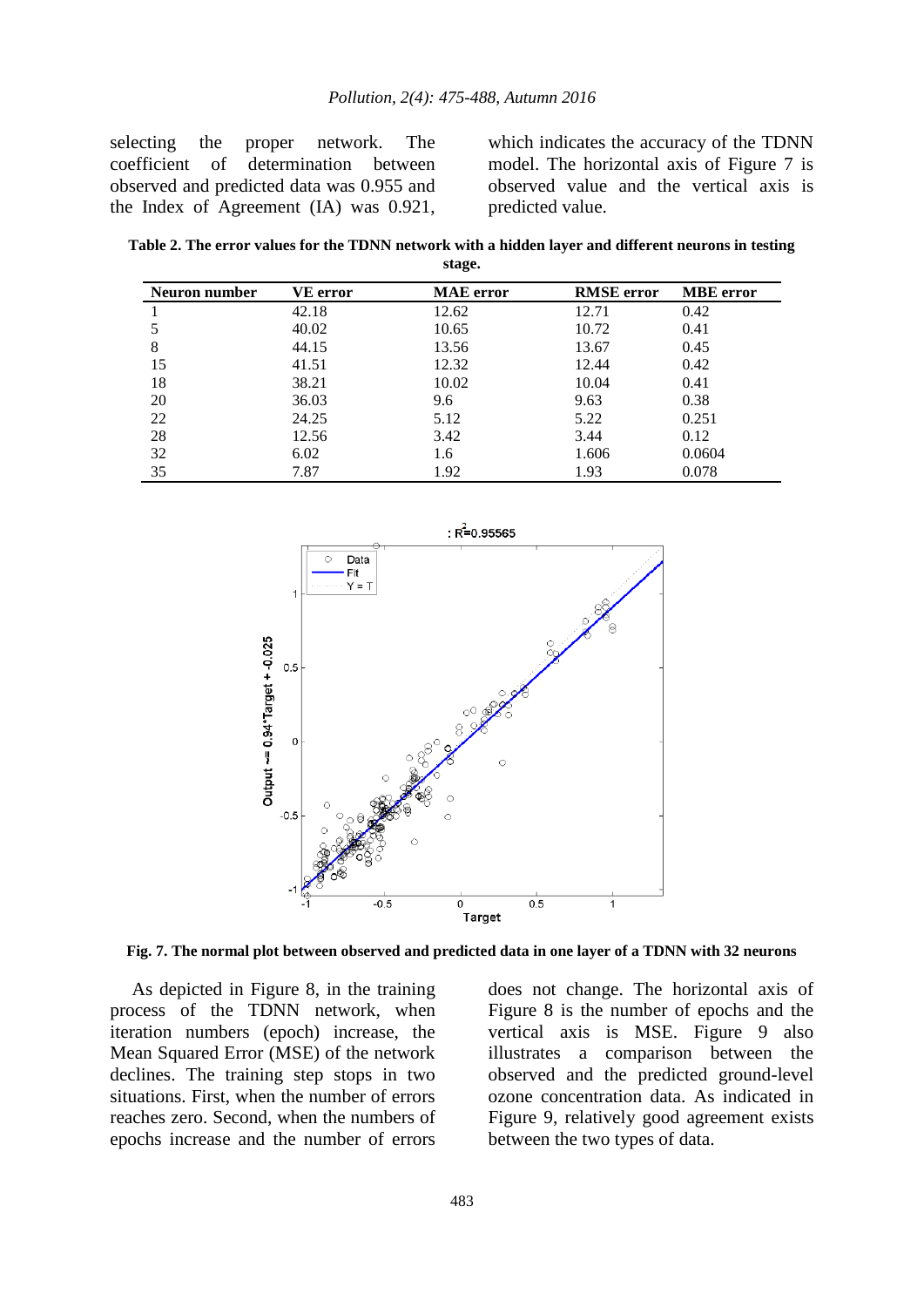selecting the proper network. The coefficient of determination between observed and predicted data was 0.955 and the Index of Agreement (IA) was 0.921, which indicates the accuracy of the TDNN model. The horizontal axis of Figure 7 is observed value and the vertical axis is predicted value.

**Table 2. The error values for the TDNN network with a hidden layer and different neurons in testing stage.**

| Neuron number | <b>VE error</b> | <b>MAE</b> error | <b>RMSE</b> error | <b>MBE</b> error |
|---------------|-----------------|------------------|-------------------|------------------|
|               | 42.18           | 12.62            | 12.71             | 0.42             |
|               | 40.02           | 10.65            | 10.72             | 0.41             |
| 8             | 44.15           | 13.56            | 13.67             | 0.45             |
| 15            | 41.51           | 12.32            | 12.44             | 0.42             |
| 18            | 38.21           | 10.02            | 10.04             | 0.41             |
| 20            | 36.03           | 9.6              | 9.63              | 0.38             |
| 22            | 24.25           | 5.12             | 5.22              | 0.251            |
| 28            | 12.56           | 3.42             | 3.44              | 0.12             |
| 32            | 6.02            | 1.6              | 1.606             | 0.0604           |
| 35            | 7.87            | 1.92             | 1.93              | 0.078            |



**Fig. 7. The normal plot between observed and predicted data in one layer of a TDNN with 32 neurons**

As depicted in Figure 8, in the training process of the TDNN network, when iteration numbers (epoch) increase, the Mean Squared Error (MSE) of the network declines. The training step stops in two situations. First, when the number of errors reaches zero. Second, when the numbers of epochs increase and the number of errors does not change. The horizontal axis of Figure 8 is the number of epochs and the vertical axis is MSE. Figure 9 also illustrates a comparison between the observed and the predicted ground-level ozone concentration data. As indicated in Figure 9, relatively good agreement exists between the two types of data.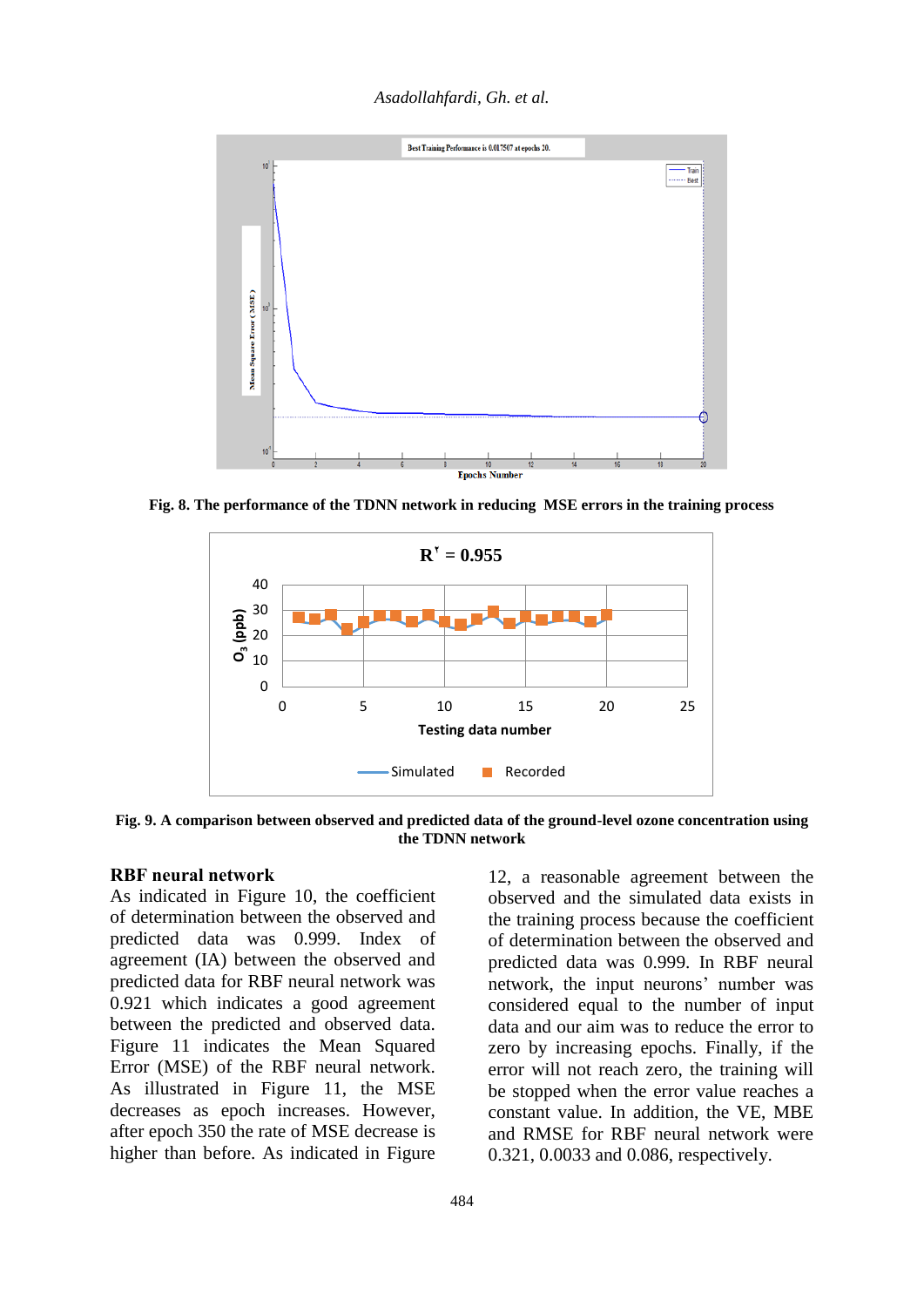*Asadollahfardi, Gh. et al.*



**Fig. 8. The performance of the TDNN network in reducing MSE errors in the training process**



**Fig. 9. A comparison between observed and predicted data of the ground-level ozone concentration using the TDNN network**

## **RBF neural network**

As indicated in Figure 10, the coefficient of determination between the observed and predicted data was 0.999. Index of agreement (IA) between the observed and predicted data for RBF neural network was 0.921 which indicates a good agreement between the predicted and observed data. Figure 11 indicates the Mean Squared Error (MSE) of the RBF neural network. As illustrated in Figure 11, the MSE decreases as epoch increases. However, after epoch 350 the rate of MSE decrease is higher than before. As indicated in Figure

12, a reasonable agreement between the observed and the simulated data exists in the training process because the coefficient of determination between the observed and predicted data was 0.999. In RBF neural network, the input neurons' number was considered equal to the number of input data and our aim was to reduce the error to zero by increasing epochs. Finally, if the error will not reach zero, the training will be stopped when the error value reaches a constant value. In addition, the VE, MBE and RMSE for RBF neural network were 0.321, 0.0033 and 0.086, respectively.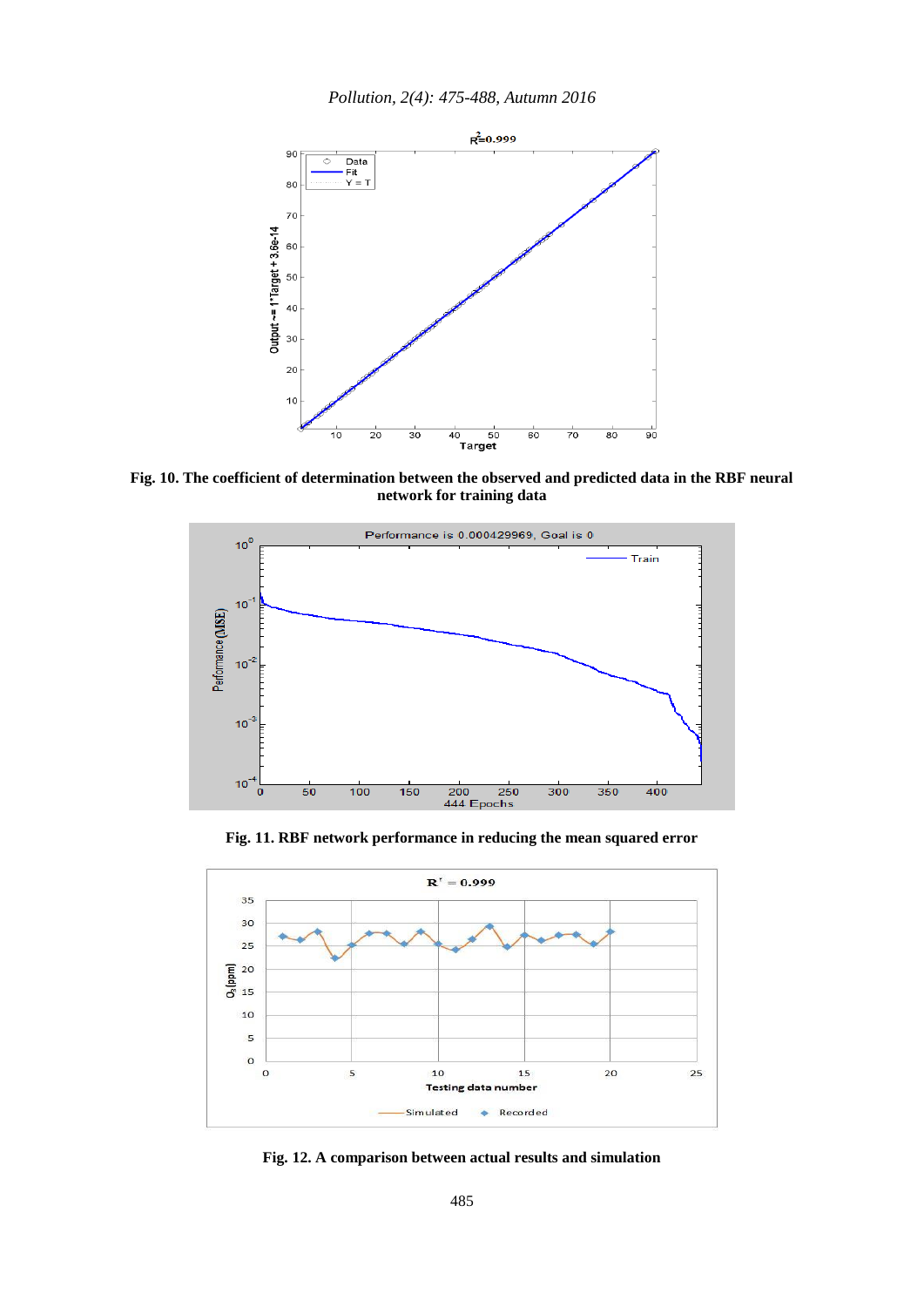

**Fig. 10. The coefficient of determination between the observed and predicted data in the RBF neural network for training data**



**Fig. 11. RBF network performance in reducing the mean squared error**



**Fig. 12. A comparison between actual results and simulation**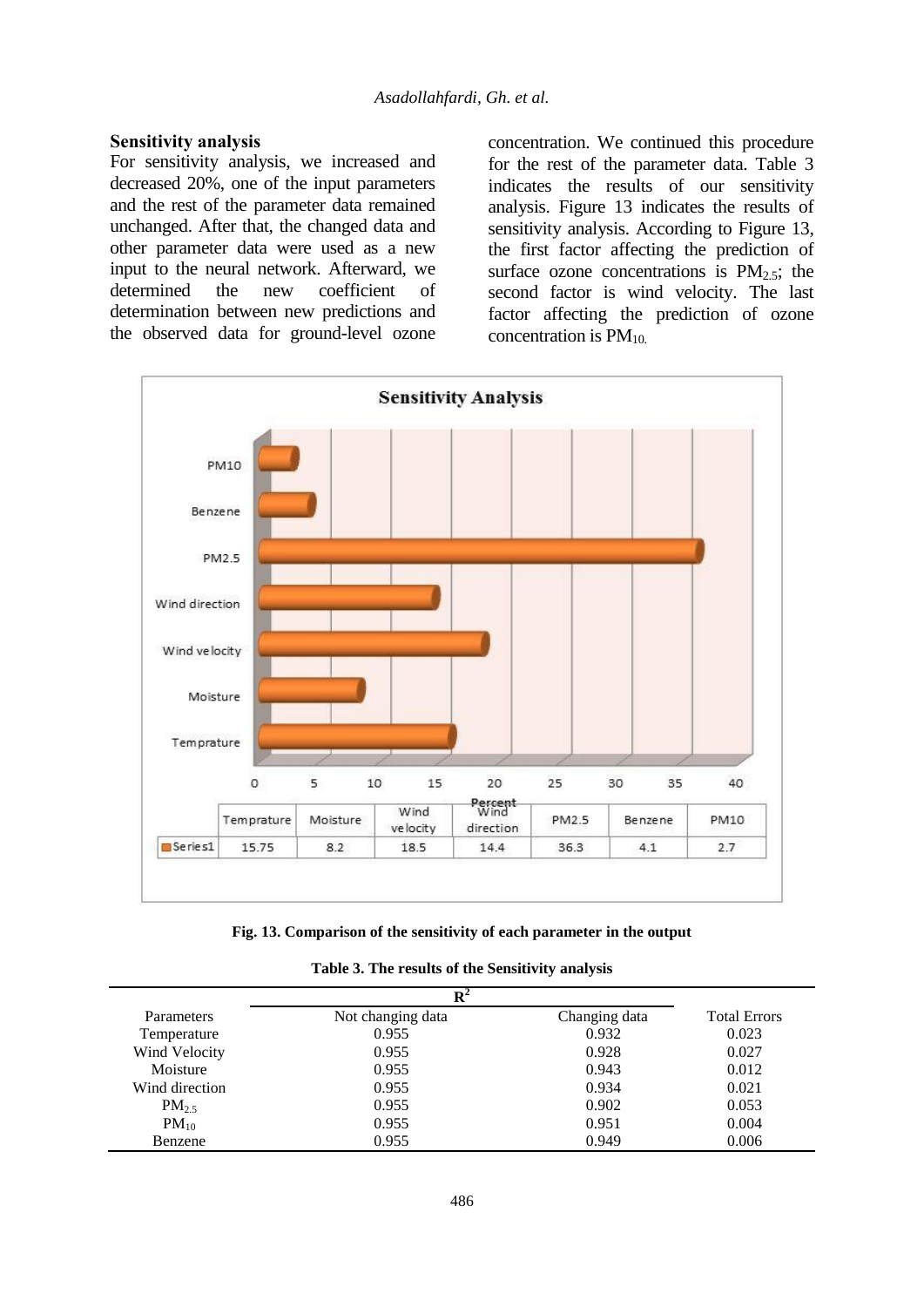#### **Sensitivity analysis**

For sensitivity analysis, we increased and decreased 20%, one of the input parameters and the rest of the parameter data remained unchanged. After that, the changed data and other parameter data were used as a new input to the neural network. Afterward, we determined the new coefficient of determination between new predictions and the observed data for ground-level ozone

concentration. We continued this procedure for the rest of the parameter data. Table 3 indicates the results of our sensitivity analysis. Figure 13 indicates the results of sensitivity analysis. According to Figure 13, the first factor affecting the prediction of surface ozone concentrations is  $PM_{2.5}$ ; the second factor is wind velocity. The last factor affecting the prediction of ozone concentration is  $PM_{10}$ .



**Fig. 13. Comparison of the sensitivity of each parameter in the output**

|  |  | Table 3. The results of the Sensitivity analysis |  |
|--|--|--------------------------------------------------|--|
|--|--|--------------------------------------------------|--|

|                   | $\mathbf{R}^2$    |               |                     |  |
|-------------------|-------------------|---------------|---------------------|--|
| <b>Parameters</b> | Not changing data | Changing data | <b>Total Errors</b> |  |
| Temperature       | 0.955             | 0.932         | 0.023               |  |
| Wind Velocity     | 0.955             | 0.928         | 0.027               |  |
| Moisture          | 0.955             | 0.943         | 0.012               |  |
| Wind direction    | 0.955             | 0.934         | 0.021               |  |
| $PM_{2.5}$        | 0.955             | 0.902         | 0.053               |  |
| $PM_{10}$         | 0.955             | 0.951         | 0.004               |  |
| Benzene           | 0.955             | 0.949         | 0.006               |  |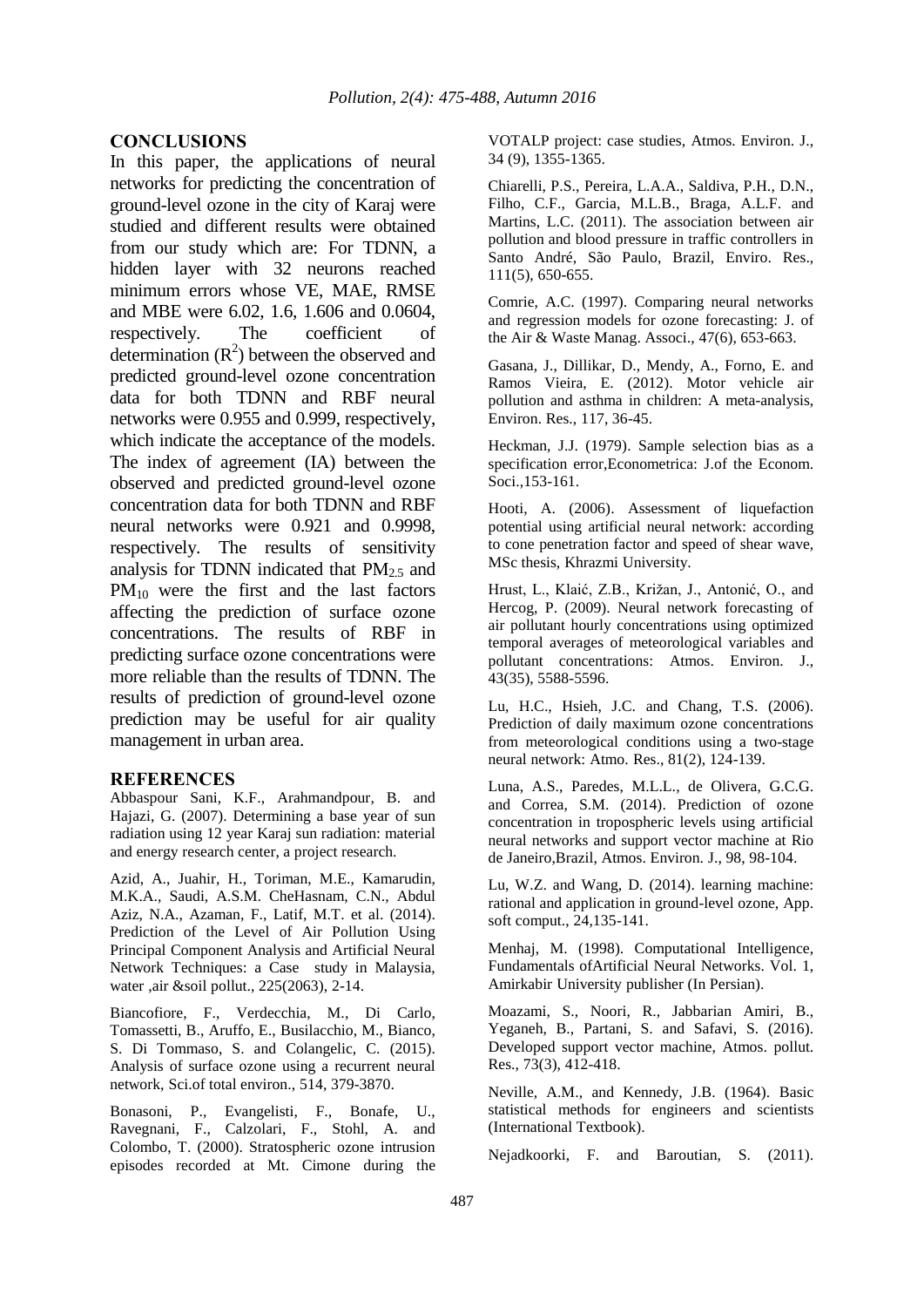### **CONCLUSIONS**

In this paper, the applications of neural networks for predicting the concentration of ground-level ozone in the city of Karaj were studied and different results were obtained from our study which are: For TDNN, a hidden layer with 32 neurons reached minimum errors whose VE, MAE, RMSE and MBE were 6.02, 1.6, 1.606 and 0.0604, respectively. The coefficient of determination  $(R^2)$  between the observed and predicted ground-level ozone concentration data for both TDNN and RBF neural networks were 0.955 and 0.999, respectively, which indicate the acceptance of the models. The index of agreement (IA) between the observed and predicted ground-level ozone concentration data for both TDNN and RBF neural networks were 0.921 and 0.9998, respectively. The results of sensitivity analysis for TDNN indicated that  $PM_2$ <sub>5</sub> and PM10 were the first and the last factors affecting the prediction of surface ozone concentrations. The results of RBF in predicting surface ozone concentrations were more reliable than the results of TDNN. The results of prediction of ground-level ozone prediction may be useful for air quality management in urban area.

#### **REFERENCES**

Abbaspour Sani, K.F., Arahmandpour, B. and Hajazi, G. (2007). Determining a base year of sun radiation using 12 year Karaj sun radiation: material and energy research center, a project research.

Azid, A., Juahir, H., Toriman, M.E., Kamarudin, M.K.A., Saudi, A.S.M. CheHasnam, C.N., Abdul Aziz, N.A., Azaman, F., Latif, M.T. et al. (2014). Prediction of the Level of Air Pollution Using Principal Component Analysis and Artificial Neural Network Techniques: a Case study in Malaysia, water ,air &soil pollut., 225(2063), 2-14.

Biancofiore, F., Verdecchia, M., Di Carlo, Tomassetti, B., Aruffo, E., Busilacchio, M., Bianco, S. Di Tommaso, S. and Colangelic, C. (2015). Analysis of surface ozone using a recurrent neural network, Sci.of total environ., 514, 379-3870.

Bonasoni, P., Evangelisti, F., Bonafe, U., Ravegnani, F., Calzolari, F., Stohl, A. and Colombo, T. (2000). Stratospheric ozone intrusion episodes recorded at Mt. Cimone during the

VOTALP project: case studies, Atmos. Environ. J., 34 (9), 1355-1365.

Chiarelli, P.S., Pereira, L.A.A., Saldiva, P.H., D.N., Filho, C.F., Garcia, M.L.B., Braga, A.L.F. and Martins, L.C. (2011). The association between air pollution and blood pressure in traffic controllers in Santo André, São Paulo, Brazil, Enviro. Res., 111(5), 650-655.

Comrie, A.C. (1997). Comparing neural networks and regression models for ozone forecasting: J. of the Air & Waste Manag. Associ., 47(6), 653-663.

Gasana, J., Dillikar, D., Mendy, A., Forno, E. and Ramos Vieira, E. (2012). Motor vehicle air pollution and asthma in children: A meta-analysis, Environ. Res., 117, 36-45.

Heckman, J.J. (1979). Sample selection bias as a specification error,Econometrica: J.of the Econom. Soci.,153-161.

Hooti, A. (2006). Assessment of liquefaction potential using artificial neural network: according to cone penetration factor and speed of shear wave, MSc thesis, Khrazmi University.

Hrust, L., Klaić, Z.B., Križan, J., Antonić, O., and Hercog, P. (2009). Neural network forecasting of air pollutant hourly concentrations using optimized temporal averages of meteorological variables and pollutant concentrations: Atmos. Environ. J., 43(35), 5588-5596.

Lu, H.C., Hsieh, J.C. and Chang, T.S. (2006). Prediction of daily maximum ozone concentrations from meteorological conditions using a two-stage neural network: Atmo. Res., 81(2), 124-139.

Luna, A.S., Paredes, M.L.L., de Olivera, G.C.G. and Correa, S.M. (2014). Prediction of ozone concentration in tropospheric levels using artificial neural networks and support vector machine at Rio de Janeiro,Brazil, Atmos. Environ. J., 98, 98-104.

Lu, W.Z. and Wang, D. (2014). learning machine: rational and application in ground-level ozone, App. soft comput., 24,135-141.

Menhaj, M. (1998). Computational Intelligence, Fundamentals ofArtificial Neural Networks. Vol. 1, Amirkabir University publisher (In Persian).

Moazami, S., Noori, R., Jabbarian Amiri, B., Yeganeh, B., Partani, S. and Safavi, S. (2016). Developed support vector machine, Atmos. pollut. Res., 73(3), 412-418.

Neville, A.M., and Kennedy, J.B. (1964). Basic statistical methods for engineers and scientists (International Textbook).

Nejadkoorki, F. and Baroutian, S. (2011).